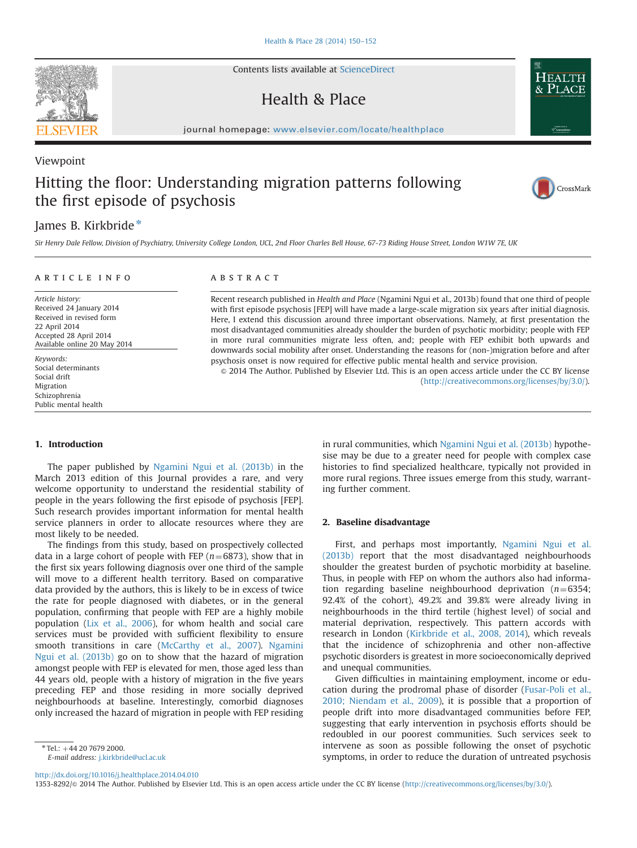Contents lists available at [ScienceDirect](www.sciencedirect.com/science/journal/13538292)

## Health & Place

journal homepage: <www.elsevier.com/locate/healthplace>/healthplace/healthplace/healthplace/healthplace/healthplace/healthplace/healthplace/healthplace/healthplace/healthplace/healthplace/healthplace/healthplace/healthplace

# Hitting the floor: Understanding migration patterns following the first episode of psychosis

## James B. Kirkbride\*

Sir Henry Dale Fellow, Division of Psychiatry, University College London, UCL, 2nd Floor Charles Bell House, 67-73 Riding House Street, London W1W 7E, UK

#### article info

Article history: Received 24 January 2014 Received in revised form 22 April 2014 Accepted 28 April 2014 Available online 20 May 2014

Keywords: Social determinants Social drift Migration Schizophrenia Public mental health

### ABSTRACT

Recent research published in Health and Place (Ngamini Ngui et al., 2013b) found that one third of people with first episode psychosis [FEP] will have made a large-scale migration six years after initial diagnosis. Here, I extend this discussion around three important observations. Namely, at first presentation the most disadvantaged communities already shoulder the burden of psychotic morbidity; people with FEP in more rural communities migrate less often, and; people with FEP exhibit both upwards and downwards social mobility after onset. Understanding the reasons for (non-)migration before and after psychosis onset is now required for effective public mental health and service provision.

& 2014 The Author. Published by Elsevier Ltd. This is an open access article under the CC BY license (http://creativecommons.org/licenses/by/3.0/).

#### 1. Introduction

The paper published by [Ngamini Ngui et al. \(2013b\)](#page-2-0) in the March 2013 edition of this Journal provides a rare, and very welcome opportunity to understand the residential stability of people in the years following the first episode of psychosis [FEP]. Such research provides important information for mental health service planners in order to allocate resources where they are most likely to be needed.

The findings from this study, based on prospectively collected data in a large cohort of people with FEP ( $n=6873$ ), show that in the first six years following diagnosis over one third of the sample will move to a different health territory. Based on comparative data provided by the authors, this is likely to be in excess of twice the rate for people diagnosed with diabetes, or in the general population, confirming that people with FEP are a highly mobile population [\(Lix et al., 2006](#page-2-0)), for whom health and social care services must be provided with sufficient flexibility to ensure smooth transitions in care ([McCarthy et al., 2007\)](#page-2-0). [Ngamini](#page-2-0) [Ngui et al. \(2013b\)](#page-2-0) go on to show that the hazard of migration amongst people with FEP is elevated for men, those aged less than 44 years old, people with a history of migration in the five years preceding FEP and those residing in more socially deprived neighbourhoods at baseline. Interestingly, comorbid diagnoses only increased the hazard of migration in people with FEP residing

E-mail address: [j.kirkbride@ucl.ac.uk](mailto:j.kirkbride@ucl.ac.uk)

in rural communities, which [Ngamini Ngui et al. \(2013b\)](#page-2-0) hypothesise may be due to a greater need for people with complex case histories to find specialized healthcare, typically not provided in more rural regions. Three issues emerge from this study, warranting further comment.

#### 2. Baseline disadvantage

First, and perhaps most importantly, [Ngamini Ngui et al.](#page-2-0) [\(2013b\)](#page-2-0) report that the most disadvantaged neighbourhoods shoulder the greatest burden of psychotic morbidity at baseline. Thus, in people with FEP on whom the authors also had information regarding baseline neighbourhood deprivation  $(n=6354;$ 92.4% of the cohort), 49.2% and 39.8% were already living in neighbourhoods in the third tertile (highest level) of social and material deprivation, respectively. This pattern accords with research in London [\(Kirkbride et al., 2008, 2014\)](#page-2-0), which reveals that the incidence of schizophrenia and other non-affective psychotic disorders is greatest in more socioeconomically deprived and unequal communities.

Given difficulties in maintaining employment, income or education during the prodromal phase of disorder ([Fusar-Poli et al.,](#page-2-0) [2010; Niendam et al., 2009](#page-2-0)), it is possible that a proportion of people drift into more disadvantaged communities before FEP, suggesting that early intervention in psychosis efforts should be redoubled in our poorest communities. Such services seek to intervene as soon as possible following the onset of psychotic symptoms, in order to reduce the duration of untreated psychosis

<http://dx.doi.org/10.1016/j.healthplace.2014.04.010>

1353-8292/& 2014 The Author. Published by Elsevier Ltd. This is an open access article under the CC BY license (http://creativecommons.org/licenses/by/3.0/).



Viewpoint



 $*$  Tel.:  $+44$  20 7679 2000.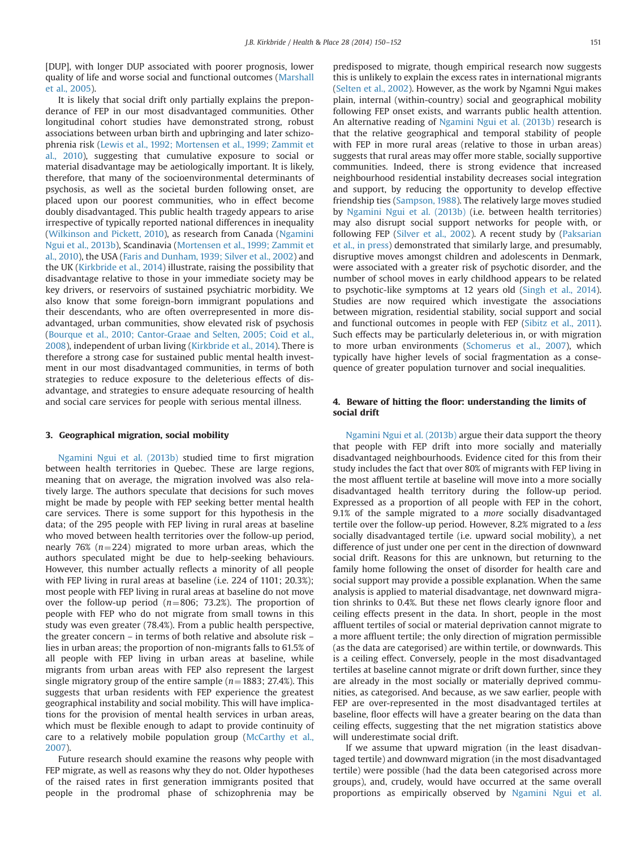[DUP], with longer DUP associated with poorer prognosis, lower quality of life and worse social and functional outcomes ([Marshall](#page-2-0) [et al., 2005](#page-2-0)).

It is likely that social drift only partially explains the preponderance of FEP in our most disadvantaged communities. Other longitudinal cohort studies have demonstrated strong, robust associations between urban birth and upbringing and later schizophrenia risk ([Lewis et al., 1992; Mortensen et al., 1999; Zammit et](#page-2-0) [al., 2010](#page-2-0)), suggesting that cumulative exposure to social or material disadvantage may be aetiologically important. It is likely, therefore, that many of the socioenvironmental determinants of psychosis, as well as the societal burden following onset, are placed upon our poorest communities, who in effect become doubly disadvantaged. This public health tragedy appears to arise irrespective of typically reported national differences in inequality ([Wilkinson and Pickett, 2010](#page-2-0)), as research from Canada [\(Ngamini](#page-2-0) [Ngui et al., 2013b](#page-2-0)), Scandinavia ([Mortensen et al., 1999; Zammit et](#page-2-0) [al., 2010](#page-2-0)), the USA [\(Faris and Dunham, 1939; Silver et al., 2002](#page-2-0)) and the UK ([Kirkbride et al., 2014\)](#page-2-0) illustrate, raising the possibility that disadvantage relative to those in your immediate society may be key drivers, or reservoirs of sustained psychiatric morbidity. We also know that some foreign-born immigrant populations and their descendants, who are often overrepresented in more disadvantaged, urban communities, show elevated risk of psychosis ([Bourque et al., 2010; Cantor-Graae and Selten, 2005; Coid et al.,](#page-2-0) [2008\)](#page-2-0), independent of urban living [\(Kirkbride et al., 2014\)](#page-2-0). There is therefore a strong case for sustained public mental health investment in our most disadvantaged communities, in terms of both strategies to reduce exposure to the deleterious effects of disadvantage, and strategies to ensure adequate resourcing of health and social care services for people with serious mental illness.

#### 3. Geographical migration, social mobility

[Ngamini Ngui et al. \(2013b\)](#page-2-0) studied time to first migration between health territories in Quebec. These are large regions, meaning that on average, the migration involved was also relatively large. The authors speculate that decisions for such moves might be made by people with FEP seeking better mental health care services. There is some support for this hypothesis in the data; of the 295 people with FEP living in rural areas at baseline who moved between health territories over the follow-up period, nearly 76% ( $n=224$ ) migrated to more urban areas, which the authors speculated might be due to help-seeking behaviours. However, this number actually reflects a minority of all people with FEP living in rural areas at baseline (i.e. 224 of 1101; 20.3%); most people with FEP living in rural areas at baseline do not move over the follow-up period ( $n=806$ ; 73.2%). The proportion of people with FEP who do not migrate from small towns in this study was even greater (78.4%). From a public health perspective, the greater concern – in terms of both relative and absolute risk – lies in urban areas; the proportion of non-migrants falls to 61.5% of all people with FEP living in urban areas at baseline, while migrants from urban areas with FEP also represent the largest single migratory group of the entire sample ( $n=1883$ ; 27.4%). This suggests that urban residents with FEP experience the greatest geographical instability and social mobility. This will have implications for the provision of mental health services in urban areas, which must be flexible enough to adapt to provide continuity of care to a relatively mobile population group [\(McCarthy et al.,](#page-2-0) [2007\)](#page-2-0).

Future research should examine the reasons why people with FEP migrate, as well as reasons why they do not. Older hypotheses of the raised rates in first generation immigrants posited that people in the prodromal phase of schizophrenia may be predisposed to migrate, though empirical research now suggests this is unlikely to explain the excess rates in international migrants ([Selten et al., 2002](#page-2-0)). However, as the work by Ngamni Ngui makes plain, internal (within-country) social and geographical mobility following FEP onset exists, and warrants public health attention. An alternative reading of [Ngamini Ngui et al. \(2013b\)](#page-2-0) research is that the relative geographical and temporal stability of people with FEP in more rural areas (relative to those in urban areas) suggests that rural areas may offer more stable, socially supportive communities. Indeed, there is strong evidence that increased neighbourhood residential instability decreases social integration and support, by reducing the opportunity to develop effective friendship ties ([Sampson, 1988\)](#page-2-0). The relatively large moves studied by [Ngamini Ngui et al. \(2013b\)](#page-2-0) (i.e. between health territories) may also disrupt social support networks for people with, or following FEP [\(Silver et al., 2002](#page-2-0)). A recent study by [\(Paksarian](#page-2-0) [et al., in press\)](#page-2-0) demonstrated that similarly large, and presumably, disruptive moves amongst children and adolescents in Denmark, were associated with a greater risk of psychotic disorder, and the number of school moves in early childhood appears to be related to psychotic-like symptoms at 12 years old [\(Singh et al., 2014\)](#page-2-0). Studies are now required which investigate the associations between migration, residential stability, social support and social and functional outcomes in people with FEP ([Sibitz et al., 2011\)](#page-2-0). Such effects may be particularly deleterious in, or with migration to more urban environments [\(Schomerus et al., 2007](#page-2-0)), which typically have higher levels of social fragmentation as a consequence of greater population turnover and social inequalities.

#### 4. Beware of hitting the floor: understanding the limits of social drift

[Ngamini Ngui et al. \(2013b\)](#page-2-0) argue their data support the theory that people with FEP drift into more socially and materially disadvantaged neighbourhoods. Evidence cited for this from their study includes the fact that over 80% of migrants with FEP living in the most affluent tertile at baseline will move into a more socially disadvantaged health territory during the follow-up period. Expressed as a proportion of all people with FEP in the cohort, 9.1% of the sample migrated to a more socially disadvantaged tertile over the follow-up period. However, 8.2% migrated to a less socially disadvantaged tertile (i.e. upward social mobility), a net difference of just under one per cent in the direction of downward social drift. Reasons for this are unknown, but returning to the family home following the onset of disorder for health care and social support may provide a possible explanation. When the same analysis is applied to material disadvantage, net downward migration shrinks to 0.4%. But these net flows clearly ignore floor and ceiling effects present in the data. In short, people in the most affluent tertiles of social or material deprivation cannot migrate to a more affluent tertile; the only direction of migration permissible (as the data are categorised) are within tertile, or downwards. This is a ceiling effect. Conversely, people in the most disadvantaged tertiles at baseline cannot migrate or drift down further, since they are already in the most socially or materially deprived communities, as categorised. And because, as we saw earlier, people with FEP are over-represented in the most disadvantaged tertiles at baseline, floor effects will have a greater bearing on the data than ceiling effects, suggesting that the net migration statistics above will underestimate social drift.

If we assume that upward migration (in the least disadvantaged tertile) and downward migration (in the most disadvantaged tertile) were possible (had the data been categorised across more groups), and, crudely, would have occurred at the same overall proportions as empirically observed by [Ngamini Ngui et al.](#page-2-0)